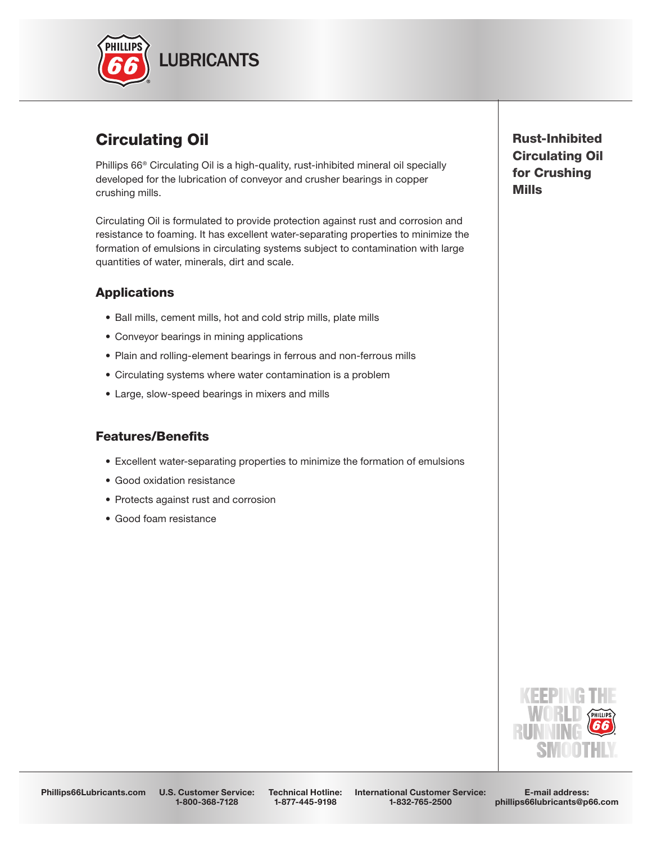

# Circulating Oil

Phillips 66® Circulating Oil is a high-quality, rust-inhibited mineral oil specially developed for the lubrication of conveyor and crusher bearings in copper crushing mills.

Circulating Oil is formulated to provide protection against rust and corrosion and resistance to foaming. It has excellent water-separating properties to minimize the formation of emulsions in circulating systems subject to contamination with large quantities of water, minerals, dirt and scale.

## **Applications**

- Ball mills, cement mills, hot and cold strip mills, plate mills
- Conveyor bearings in mining applications
- Plain and rolling-element bearings in ferrous and non-ferrous mills
- Circulating systems where water contamination is a problem
- Large, slow-speed bearings in mixers and mills

#### **Features/Benefits**

- Excellent water-separating properties to minimize the formation of emulsions
- Good oxidation resistance
- Protects against rust and corrosion
- Good foam resistance

Rust-Inhibited Circulating Oil for Crushing Mills



Phillips66Lubricants.com U.S. Customer Service: 1-800-368-7128

Technical Hotline: 1-877-445-9198

International Customer Service: 1-832-765-2500

E-mail address: phillips66lubricants@p66.com